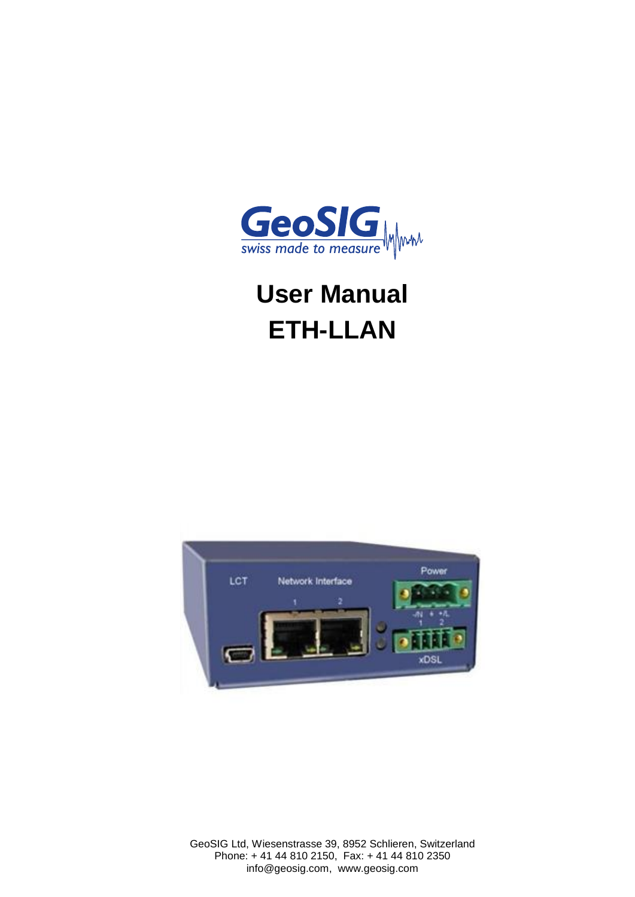

# **User Manual ETH-LLAN**



GeoSIG Ltd, Wiesenstrasse 39, 8952 Schlieren, Switzerland Phone: + 41 44 810 2150, Fax: + 41 44 810 2350 info@geosig.com, www.geosig.com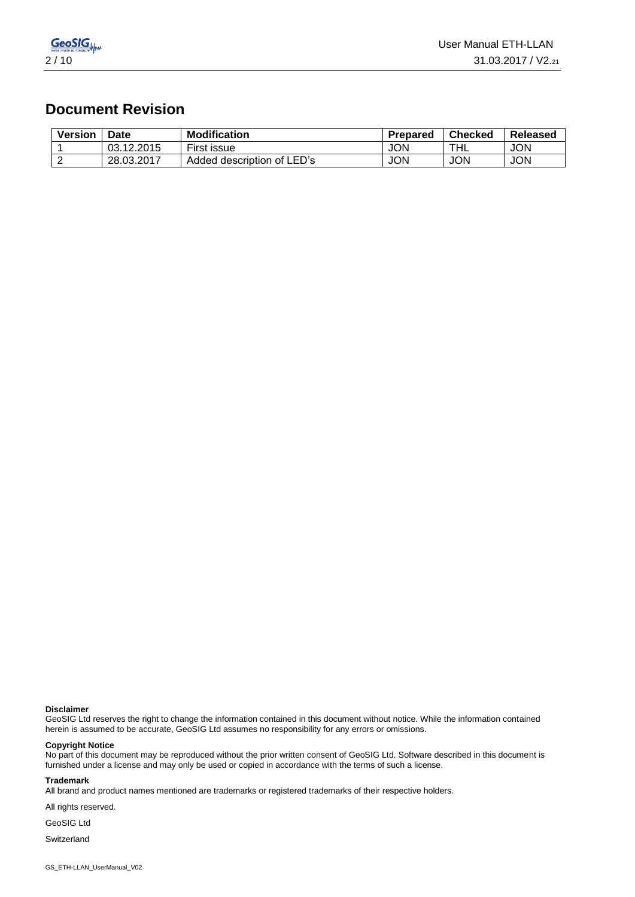

## **Document Revision**

| <b>Version</b> | <b>Date</b> | <b>Modification</b>        | <b>Prepared</b> | <b>Checked</b> | Released   |
|----------------|-------------|----------------------------|-----------------|----------------|------------|
|                | 03.12.2015  | First issue                | <b>JON</b>      | THL            | <b>JON</b> |
|                | 28.03.2017  | Added description of LED's | <b>JON</b>      | JON            | <b>JON</b> |

#### **Disclaimer**

GeoSIG Ltd reserves the right to change the information contained in this document without notice. While the information contained herein is assumed to be accurate, GeoSIG Ltd assumes no responsibility for any errors or omissions.

#### **Copyright Notice**

No part of this document may be reproduced without the prior written consent of GeoSIG Ltd. Software described in this document is furnished under a license and may only be used or copied in accordance with the terms of such a license.

#### **Trademark**

All brand and product names mentioned are trademarks or registered trademarks of their respective holders.

All rights reserved.

GeoSIG Ltd

Switzerland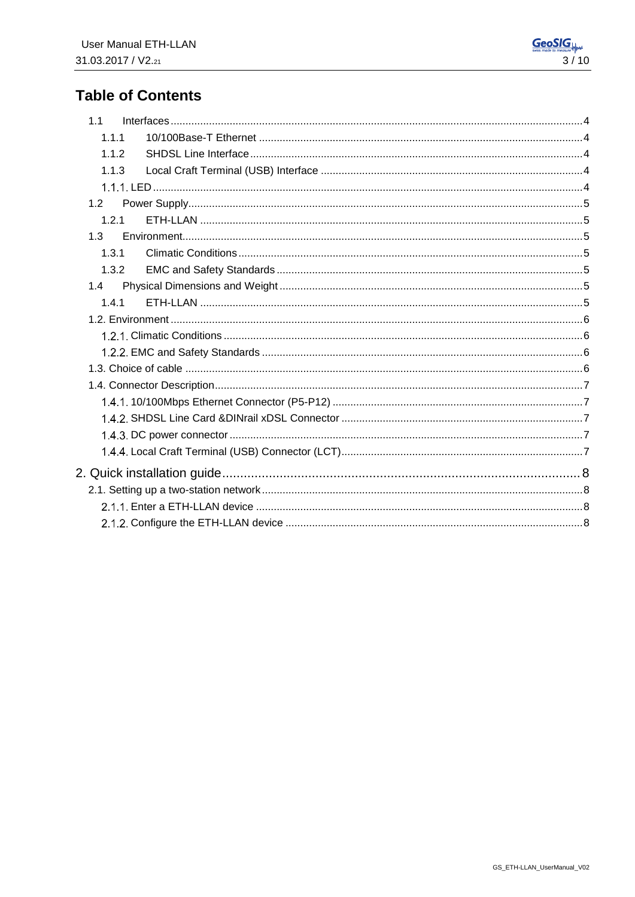# **Table of Contents**

| 1.1   |  |
|-------|--|
| 1.1.1 |  |
| 1.1.2 |  |
| 1.1.3 |  |
|       |  |
| 1.2   |  |
| 1.2.1 |  |
| 1.3   |  |
| 1.3.1 |  |
| 1.3.2 |  |
| 1.4   |  |
| 1.4.1 |  |
|       |  |
|       |  |
|       |  |
|       |  |
|       |  |
|       |  |
|       |  |
|       |  |
|       |  |
|       |  |
|       |  |
|       |  |
|       |  |
|       |  |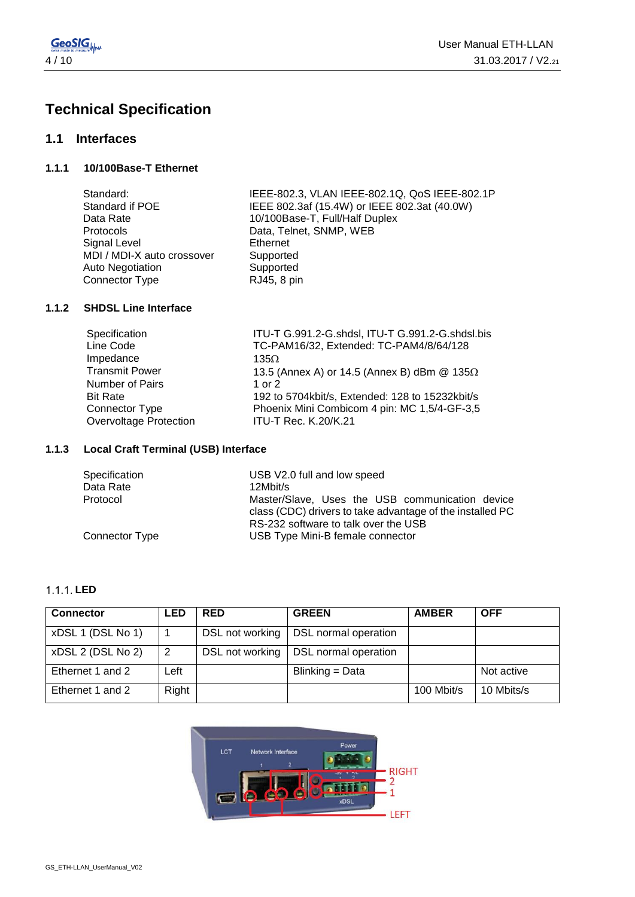

# **Technical Specification**

#### **1.1 Interfaces**

**1.1.1 10/100Base-T Ethernet** 

| Standard:                  | IEEE-802.3, VLAN IEEE-802.1Q, QoS IEEE-802.1P |
|----------------------------|-----------------------------------------------|
| Standard if POE            | IEEE 802.3af (15.4W) or IEEE 802.3at (40.0W)  |
| Data Rate                  | 10/100Base-T, Full/Half Duplex                |
| Protocols                  | Data, Telnet, SNMP, WEB                       |
| Signal Level               | Ethernet                                      |
| MDI / MDI-X auto crossover | Supported                                     |
| Auto Negotiation           | Supported                                     |
| Connector Type             | RJ45, 8 pin                                   |
|                            |                                               |

#### **1.1.2 SHDSL Line Interface**

| Specification          | ITU-T G.991.2-G.shdsl, ITU-T G.991.2-G.shdsl.bis      |
|------------------------|-------------------------------------------------------|
| Line Code              | TC-PAM16/32, Extended: TC-PAM4/8/64/128               |
| Impedance              | 135 $\Omega$                                          |
| <b>Transmit Power</b>  | 13.5 (Annex A) or 14.5 (Annex B) dBm $@$ 135 $\Omega$ |
| Number of Pairs        | 1 or $2$                                              |
| <b>Bit Rate</b>        | 192 to 5704kbit/s, Extended: 128 to 15232kbit/s       |
| Connector Type         | Phoenix Mini Combicom 4 pin: MC 1,5/4-GF-3,5          |
| Overvoltage Protection | <b>ITU-T Rec. K.20/K.21</b>                           |
|                        |                                                       |

#### **1.1.3 Local Craft Terminal (USB) Interface**

| Specification  | USB V2.0 full and low speed                                                                                                                          |  |
|----------------|------------------------------------------------------------------------------------------------------------------------------------------------------|--|
| Data Rate      | 12Mbit/s                                                                                                                                             |  |
| Protocol       | Master/Slave, Uses the USB communication device<br>class (CDC) drivers to take advantage of the installed PC<br>RS-232 software to talk over the USB |  |
| Connector Type | USB Type Mini-B female connector                                                                                                                     |  |

#### **LED**

| <b>Connector</b>  | <b>LED</b> | <b>RED</b>      | <b>GREEN</b>                | <b>AMBER</b> | <b>OFF</b> |
|-------------------|------------|-----------------|-----------------------------|--------------|------------|
| xDSL 1 (DSL No 1) |            | DSL not working | <b>DSL normal operation</b> |              |            |
| xDSL 2 (DSL No 2) | 2          | DSL not working | DSL normal operation        |              |            |
| Ethernet 1 and 2  | Left       |                 | Blinking = Data             |              | Not active |
| Ethernet 1 and 2  | Right      |                 |                             | 100 Mbit/s   | 10 Mbits/s |

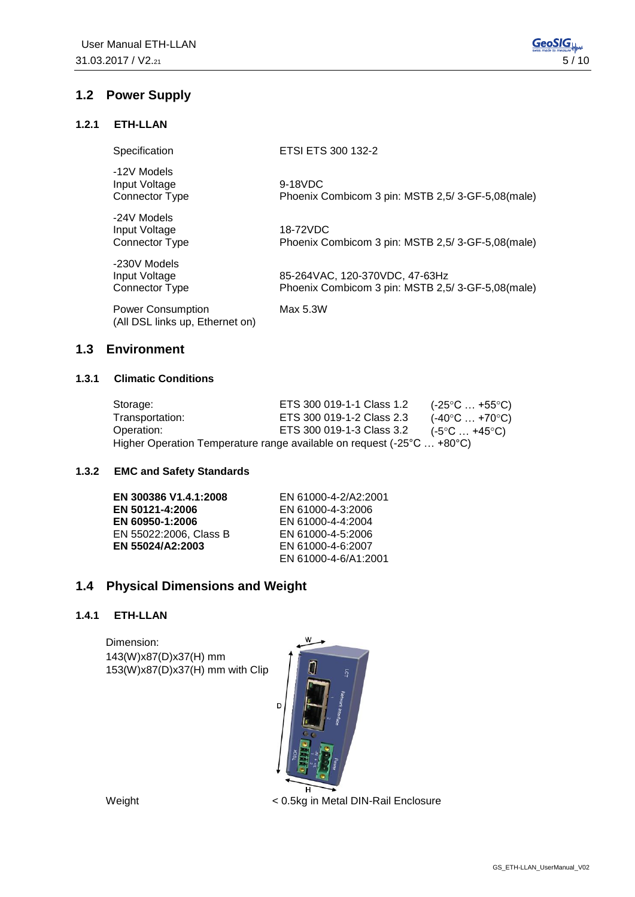#### **1.2.1 ETH-LLAN**

| Specification                                               | ETSI ETS 300 132-2                                                                 |
|-------------------------------------------------------------|------------------------------------------------------------------------------------|
| -12V Models<br>Input Voltage<br>Connector Type              | 9-18VDC<br>Phoenix Combicom 3 pin: MSTB 2,5/3-GF-5,08(male)                        |
| -24V Models<br>Input Voltage<br>Connector Type              | 18-72VDC<br>Phoenix Combicom 3 pin: MSTB 2,5/3-GF-5,08(male)                       |
| -230V Models<br>Input Voltage<br>Connector Type             | 85-264VAC, 120-370VDC, 47-63Hz<br>Phoenix Combicom 3 pin: MSTB 2,5/3-GF-5,08(male) |
| <b>Power Consumption</b><br>(All DSL links up, Ethernet on) | Max 5.3W                                                                           |

#### **1.3 Environment**

#### **1.3.1 Climatic Conditions**

| Storage:        | ETS 300 019-1-1 Class 1.2                                              | (-25°C … +55°C)                |
|-----------------|------------------------------------------------------------------------|--------------------------------|
| Transportation: | ETS 300 019-1-2 Class 2.3                                              | $(-40^{\circ}C  +70^{\circ}C)$ |
| Operation:      | ETS 300 019-1-3 Class 3.2                                              | (-5°C … +45°C)                 |
|                 | Higher Operation Temperature range available on request (-25°C  +80°C) |                                |

#### **1.3.2 EMC and Safety Standards**

| EN 300386 V1.4.1:2008  | EN 61000-4-2/A2:2001 |
|------------------------|----------------------|
| EN 50121-4:2006        | EN 61000-4-3:2006    |
| EN 60950-1:2006        | EN 61000-4-4:2004    |
| EN 55022:2006, Class B | EN 61000-4-5:2006    |
| EN 55024/A2:2003       | EN 61000-4-6:2007    |
|                        | EN 61000-4-6/A1:2001 |

### **1.4 Physical Dimensions and Weight**

#### **1.4.1 ETH-LLAN**

Dimension: 143(W)x87(D)x37(H) mm 153(W)x87(D)x37(H) mm with Clip



Weight < 0.5kg in Metal DIN-Rail Enclosure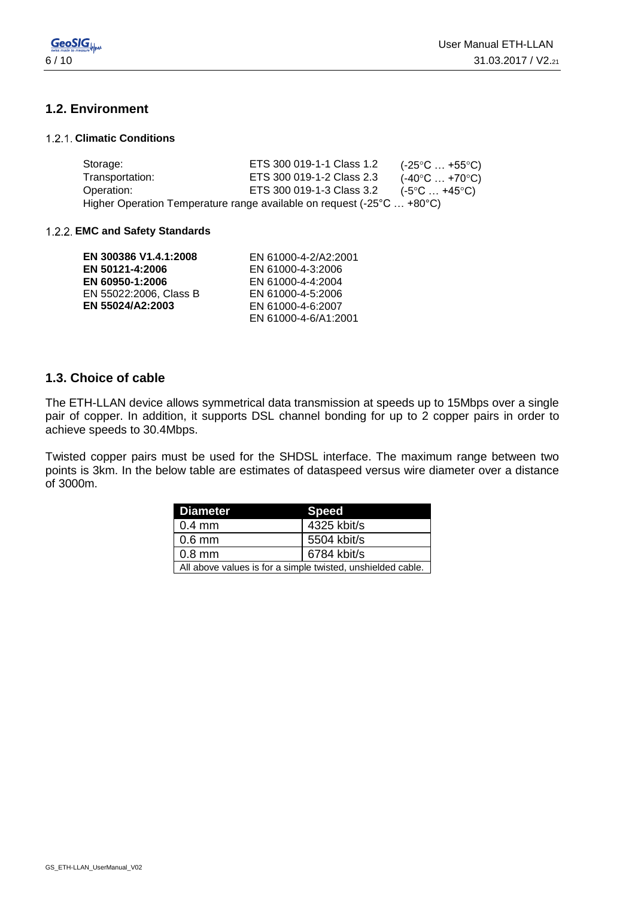

### **1.2. Environment**

#### **Climatic Conditions**

| Storage:        | ETS 300 019-1-1 Class 1.2                                              | $(-25^{\circ}C \dots +55^{\circ}C)$ |
|-----------------|------------------------------------------------------------------------|-------------------------------------|
| Transportation: | ETS 300 019-1-2 Class 2.3                                              | $(-40^{\circ}C \dots +70^{\circ}C)$ |
| Operation:      | ETS 300 019-1-3 Class 3.2                                              | $(-5^{\circ}C \dots +45^{\circ}C)$  |
|                 | Higher Operation Temperature range available on request (-25°C  +80°C) |                                     |

#### **EMC and Safety Standards**

| EN 300386 V1.4.1:2008  | EN 61000-4-2/A2:2001 |
|------------------------|----------------------|
| EN 50121-4:2006        | EN 61000-4-3:2006    |
| EN 60950-1:2006        | EN 61000-4-4:2004    |
| EN 55022:2006, Class B | EN 61000-4-5:2006    |
| EN 55024/A2:2003       | EN 61000-4-6:2007    |
|                        | EN 61000-4-6/A1:2001 |

#### **1.3. Choice of cable**

The ETH-LLAN device allows symmetrical data transmission at speeds up to 15Mbps over a single pair of copper. In addition, it supports DSL channel bonding for up to 2 copper pairs in order to achieve speeds to 30.4Mbps.

Twisted copper pairs must be used for the SHDSL interface. The maximum range between two points is 3km. In the below table are estimates of dataspeed versus wire diameter over a distance of 3000m.

| <b>Diameter</b>                                             | <b>Speed</b> |  |
|-------------------------------------------------------------|--------------|--|
| $0.4 \text{ mm}$                                            | 4325 kbit/s  |  |
| $\mid$ 0.6 mm                                               | 5504 kbit/s  |  |
| 6784 kbit/s<br>$0.8$ mm                                     |              |  |
| All above values is for a simple twisted, unshielded cable. |              |  |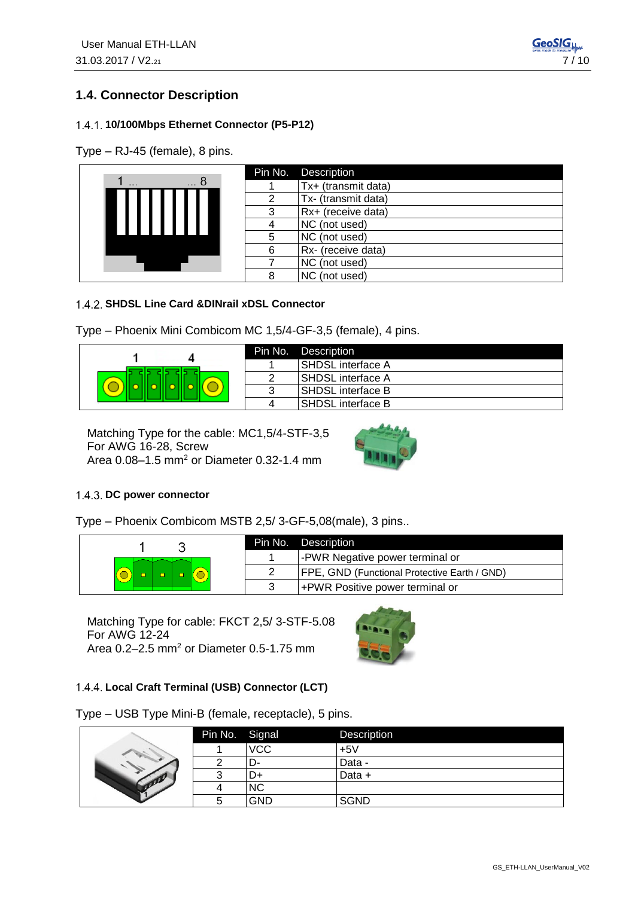## **1.4. Connector Description**

#### **10/100Mbps Ethernet Connector (P5-P12)**

Type – RJ-45 (female), 8 pins.

|               |   | Pin No. Description |
|---------------|---|---------------------|
| 8<br>$\cdots$ |   | Tx+ (transmit data) |
|               |   | Tx- (transmit data) |
|               |   | Rx+ (receive data)  |
|               |   | NC (not used)       |
|               |   | NC (not used)       |
|               | 6 | Rx- (receive data)  |
|               |   | NC (not used)       |
|               |   | NC (not used)       |

#### **SHDSL Line Card &DINrail xDSL Connector**

Type – Phoenix Mini Combicom MC 1,5/4-GF-3,5 (female), 4 pins.



|   | Pin No. Description      |
|---|--------------------------|
|   | <b>SHDSL</b> interface A |
| າ | I SHDSL interface A      |
| 3 | <b>SHDSL</b> interface B |
| 4 | <b>SHDSL</b> interface B |

Matching Type for the cable: MC1,5/4-STF-3,5 For AWG 16-28, Screw Area 0.08-1.5 mm<sup>2</sup> or Diameter 0.32-1.4 mm



#### 1.4.3. DC power connector

Type – Phoenix Combicom MSTB 2,5/ 3-GF-5,08(male), 3 pins..

|  | Pin No. | Description                                  |
|--|---------|----------------------------------------------|
|  |         | -PWR Negative power terminal or              |
|  |         | FPE, GND (Functional Protective Earth / GND) |
|  |         | +PWR Positive power terminal or              |

Matching Type for cable: FKCT 2,5/ 3-STF-5.08 For AWG 12-24 Area 0.2-2.5 mm<sup>2</sup> or Diameter 0.5-1.75 mm



#### **Local Craft Terminal (USB) Connector (LCT)**

Type – USB Type Mini-B (female, receptacle), 5 pins.

|  | Pin No. Signal |            | Description |
|--|----------------|------------|-------------|
|  |                | <b>VCC</b> | $+5V$       |
|  |                | -ل         | Data -      |
|  |                |            | Data +      |
|  |                | ΝC         |             |
|  |                | <b>GND</b> | <b>SGND</b> |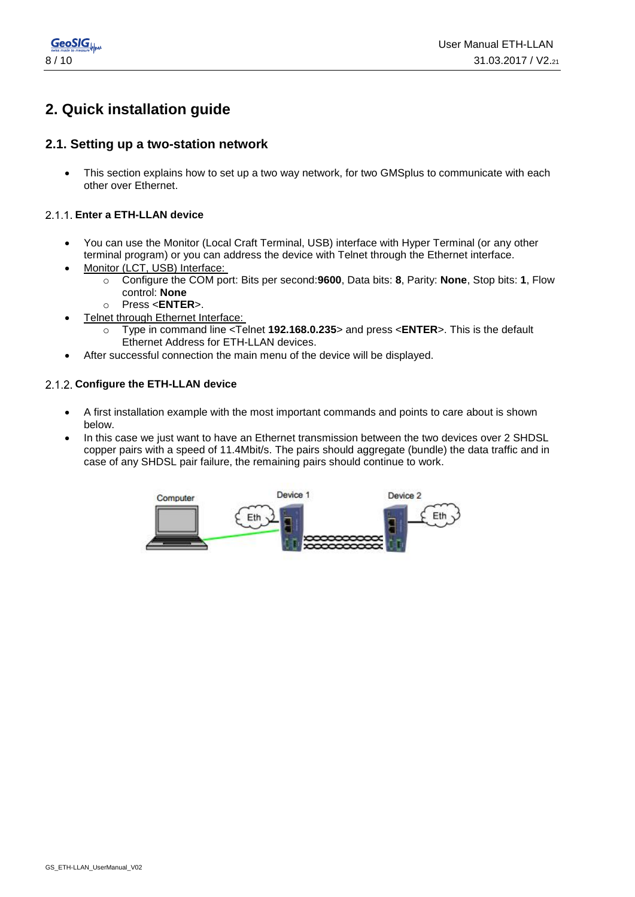

## **2. Quick installation guide**

#### **2.1. Setting up a two-station network**

• This section explains how to set up a two way network, for two GMSplus to communicate with each other over Ethernet.

#### **Enter a ETH-LLAN device**

- You can use the Monitor (Local Craft Terminal, USB) interface with Hyper Terminal (or any other terminal program) or you can address the device with Telnet through the Ethernet interface.
- Monitor (LCT, USB) Interface:
	- o Configure the COM port: Bits per second:**9600**, Data bits: **8**, Parity: **None**, Stop bits: **1**, Flow control: **None**
	- o Press <**ENTER**>.
- Telnet through Ethernet Interface:
	- o Type in command line <Telnet **192.168.0.235**> and press <**ENTER**>. This is the default Ethernet Address for ETH-LLAN devices.
- After successful connection the main menu of the device will be displayed.

#### 2.1.2. Configure the ETH-LLAN device

- A first installation example with the most important commands and points to care about is shown below.
- In this case we just want to have an Ethernet transmission between the two devices over 2 SHDSL copper pairs with a speed of 11.4Mbit/s. The pairs should aggregate (bundle) the data traffic and in case of any SHDSL pair failure, the remaining pairs should continue to work.

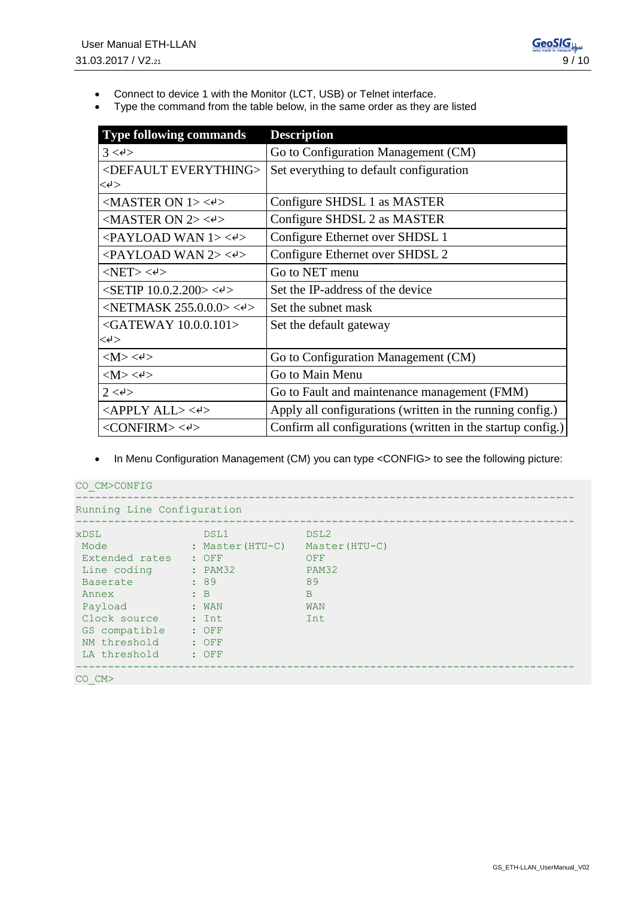- Connect to device 1 with the Monitor (LCT, USB) or Telnet interface.
- Type the command from the table below, in the same order as they are listed

| <b>Type following commands</b>                                       | <b>Description</b>                                          |
|----------------------------------------------------------------------|-------------------------------------------------------------|
| 3 < 4 >                                                              | Go to Configuration Management (CM)                         |
| <default everything=""></default>                                    | Set everything to default configuration                     |
| $<\!\! \leftrightarrow \!\!$                                         |                                                             |
| $<$ MASTER ON 1> $<$ e>                                              | Configure SHDSL 1 as MASTER                                 |
| $<$ MASTER ON 2> $<$ e>                                              | Configure SHDSL 2 as MASTER                                 |
| $\langle$ PAYLOAD WAN 1> $\langle$ e>                                | Configure Ethernet over SHDSL 1                             |
| $\langle$ PAYLOAD WAN 2> $\langle$ e>                                | Configure Ethernet over SHDSL 2                             |
| $<$ NET> $<$ e $>$                                                   | Go to NET menu                                              |
| $\langle$ SETIP 10.0.2.200> $\langle \cdot \rangle$                  | Set the IP-address of the device                            |
| $\langle \text{NETMASK } 255.0.0.0 \rangle \langle \text{A} \rangle$ | Set the subnet mask                                         |
| $\leq$ GATEWAY 10.0.0.101>                                           | Set the default gateway                                     |
| $<\!\!\prec\!\! \cdot\!\!$                                           |                                                             |
| $ M><\epsilon $                                                      | Go to Configuration Management (CM)                         |
| $ M><\leftrightarrow $                                               | Go to Main Menu                                             |
| $2 < \leftrightarrow$                                                | Go to Fault and maintenance management (FMM)                |
| <apply all=""> &lt;<sup>4</sup>&gt;</apply>                          | Apply all configurations (written in the running config.)   |
| $<$ CONFIRM> $<$ e>                                                  | Confirm all configurations (written in the startup config.) |

• In Menu Configuration Management (CM) you can type <CONFIG> to see the following picture:

| CO CM>CONFIG                                                                                                                                                 |                                                                                                                                                                                                                                                    |                                                                                   |  |
|--------------------------------------------------------------------------------------------------------------------------------------------------------------|----------------------------------------------------------------------------------------------------------------------------------------------------------------------------------------------------------------------------------------------------|-----------------------------------------------------------------------------------|--|
| Running Line Configuration                                                                                                                                   |                                                                                                                                                                                                                                                    |                                                                                   |  |
| <b>xDSL</b><br>Mode<br>Extended rates<br>Line coding<br><b>Baserate</b><br>Annex<br>Payload<br>Clock source<br>GS compatible<br>NM threshold<br>LA threshold | DSL1<br>: Master(HTU-C)<br>$\cdot$ OFF<br>: PAM32<br>:89<br>$B$ :<br>$:$ WAN<br>and the state of the state of the state of the state of the state of the state of the state of the state of the<br>$\therefore$ OFF<br>$\therefore$ OFF<br>$:$ OFF | DSL2<br>Master (HTU-C)<br>OFF<br>PAM32<br>89<br>$\mathbf{B}$<br><b>WAN</b><br>Int |  |
| $CO$ $CM>$                                                                                                                                                   |                                                                                                                                                                                                                                                    |                                                                                   |  |